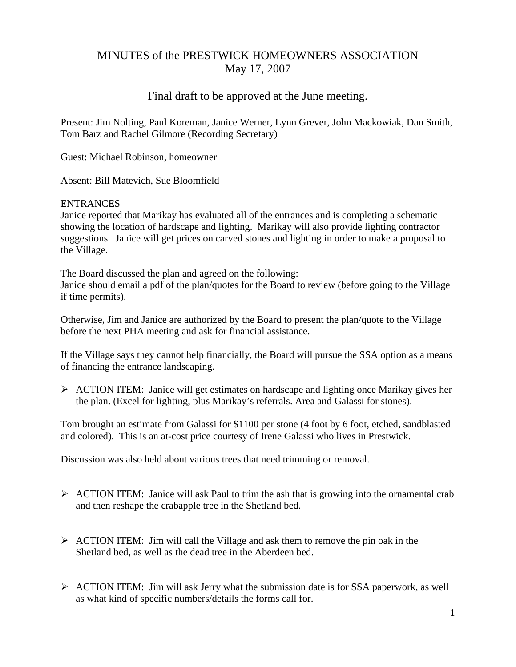# MINUTES of the PRESTWICK HOMEOWNERS ASSOCIATION May 17, 2007

## Final draft to be approved at the June meeting.

Present: Jim Nolting, Paul Koreman, Janice Werner, Lynn Grever, John Mackowiak, Dan Smith, Tom Barz and Rachel Gilmore (Recording Secretary)

Guest: Michael Robinson, homeowner

Absent: Bill Matevich, Sue Bloomfield

## ENTRANCES

Janice reported that Marikay has evaluated all of the entrances and is completing a schematic showing the location of hardscape and lighting. Marikay will also provide lighting contractor suggestions. Janice will get prices on carved stones and lighting in order to make a proposal to the Village.

The Board discussed the plan and agreed on the following: Janice should email a pdf of the plan/quotes for the Board to review (before going to the Village if time permits).

Otherwise, Jim and Janice are authorized by the Board to present the plan/quote to the Village before the next PHA meeting and ask for financial assistance.

If the Village says they cannot help financially, the Board will pursue the SSA option as a means of financing the entrance landscaping.

¾ ACTION ITEM: Janice will get estimates on hardscape and lighting once Marikay gives her the plan. (Excel for lighting, plus Marikay's referrals. Area and Galassi for stones).

Tom brought an estimate from Galassi for \$1100 per stone (4 foot by 6 foot, etched, sandblasted and colored). This is an at-cost price courtesy of Irene Galassi who lives in Prestwick.

Discussion was also held about various trees that need trimming or removal.

- $\triangleright$  ACTION ITEM: Janice will ask Paul to trim the ash that is growing into the ornamental crab and then reshape the crabapple tree in the Shetland bed.
- $\triangleright$  ACTION ITEM: Jim will call the Village and ask them to remove the pin oak in the Shetland bed, as well as the dead tree in the Aberdeen bed.
- $\triangleright$  ACTION ITEM: Jim will ask Jerry what the submission date is for SSA paperwork, as well as what kind of specific numbers/details the forms call for.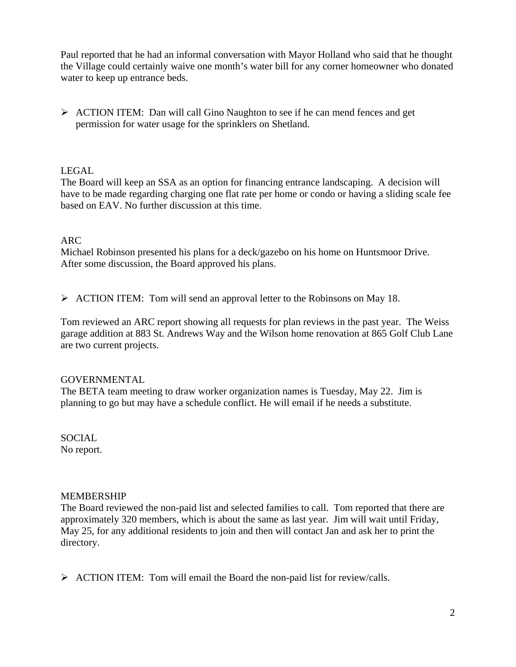Paul reported that he had an informal conversation with Mayor Holland who said that he thought the Village could certainly waive one month's water bill for any corner homeowner who donated water to keep up entrance beds.

 $\triangleright$  ACTION ITEM: Dan will call Gino Naughton to see if he can mend fences and get permission for water usage for the sprinklers on Shetland.

## LEGAL

The Board will keep an SSA as an option for financing entrance landscaping. A decision will have to be made regarding charging one flat rate per home or condo or having a sliding scale fee based on EAV. No further discussion at this time.

#### ARC

Michael Robinson presented his plans for a deck/gazebo on his home on Huntsmoor Drive. After some discussion, the Board approved his plans.

¾ ACTION ITEM: Tom will send an approval letter to the Robinsons on May 18.

Tom reviewed an ARC report showing all requests for plan reviews in the past year. The Weiss garage addition at 883 St. Andrews Way and the Wilson home renovation at 865 Golf Club Lane are two current projects.

#### GOVERNMENTAL

The BETA team meeting to draw worker organization names is Tuesday, May 22. Jim is planning to go but may have a schedule conflict. He will email if he needs a substitute.

SOCIAL No report.

#### MEMBERSHIP

The Board reviewed the non-paid list and selected families to call. Tom reported that there are approximately 320 members, which is about the same as last year. Jim will wait until Friday, May 25, for any additional residents to join and then will contact Jan and ask her to print the directory.

 $\triangleright$  ACTION ITEM: Tom will email the Board the non-paid list for review/calls.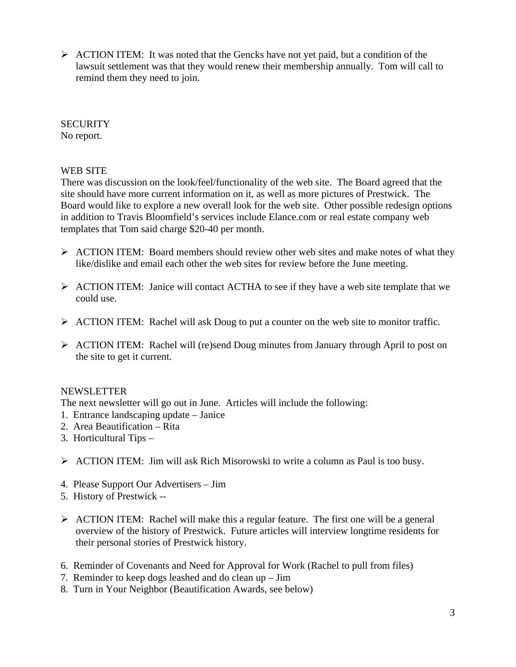$\triangleright$  ACTION ITEM: It was noted that the Gencks have not yet paid, but a condition of the lawsuit settlement was that they would renew their membership annually. Tom will call to remind them they need to join.

#### **SECURITY** No report.

## WEB SITE

There was discussion on the look/feel/functionality of the web site. The Board agreed that the site should have more current information on it, as well as more pictures of Prestwick. The Board would like to explore a new overall look for the web site. Other possible redesign options in addition to Travis Bloomfield's services include Elance.com or real estate company web templates that Tom said charge \$20-40 per month.

- $\triangleright$  ACTION ITEM: Board members should review other web sites and make notes of what they like/dislike and email each other the web sites for review before the June meeting.
- ¾ ACTION ITEM: Janice will contact ACTHA to see if they have a web site template that we could use.
- $\triangleright$  ACTION ITEM: Rachel will ask Doug to put a counter on the web site to monitor traffic.
- $\triangleright$  ACTION ITEM: Rachel will (re)send Doug minutes from January through April to post on the site to get it current.

## NEWSLETTER

The next newsletter will go out in June. Articles will include the following:

- 1. Entrance landscaping update Janice
- 2. Area Beautification Rita
- 3. Horticultural Tips –
- $\triangleright$  ACTION ITEM: Jim will ask Rich Misorowski to write a column as Paul is too busy.
- 4. Please Support Our Advertisers Jim
- 5. History of Prestwick --
- $\triangleright$  ACTION ITEM: Rachel will make this a regular feature. The first one will be a general overview of the history of Prestwick. Future articles will interview longtime residents for their personal stories of Prestwick history.
- 6. Reminder of Covenants and Need for Approval for Work (Rachel to pull from files)
- 7. Reminder to keep dogs leashed and do clean up Jim
- 8. Turn in Your Neighbor (Beautification Awards, see below)